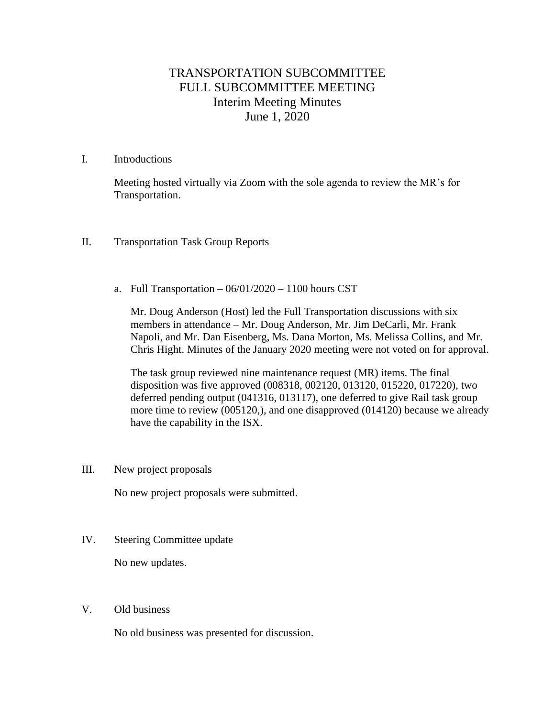## TRANSPORTATION SUBCOMMITTEE FULL SUBCOMMITTEE MEETING Interim Meeting Minutes June 1, 2020

## I. Introductions

Meeting hosted virtually via Zoom with the sole agenda to review the MR's for Transportation.

- II. Transportation Task Group Reports
	- a. Full Transportation  $-06/01/2020 1100$  hours CST

Mr. Doug Anderson (Host) led the Full Transportation discussions with six members in attendance – Mr. Doug Anderson, Mr. Jim DeCarli, Mr. Frank Napoli, and Mr. Dan Eisenberg, Ms. Dana Morton, Ms. Melissa Collins, and Mr. Chris Hight. Minutes of the January 2020 meeting were not voted on for approval.

The task group reviewed nine maintenance request (MR) items. The final disposition was five approved (008318, 002120, 013120, 015220, 017220), two deferred pending output (041316, 013117), one deferred to give Rail task group more time to review (005120,), and one disapproved (014120) because we already have the capability in the ISX.

III. New project proposals

No new project proposals were submitted.

IV. Steering Committee update

No new updates.

V. Old business

No old business was presented for discussion.